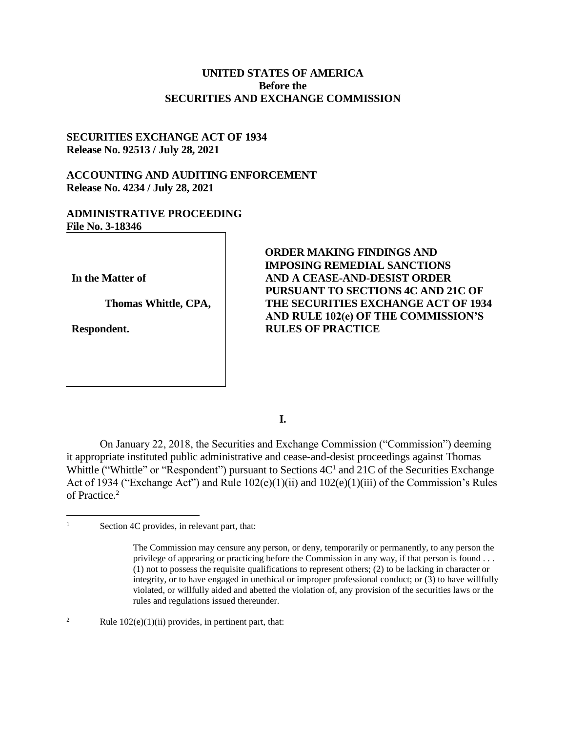# **UNITED STATES OF AMERICA Before the SECURITIES AND EXCHANGE COMMISSION**

## **SECURITIES EXCHANGE ACT OF 1934 Release No. 92513 / July 28, 2021**

# **ACCOUNTING AND AUDITING ENFORCEMENT Release No. 4234 / July 28, 2021**

## **ADMINISTRATIVE PROCEEDING File No. 3-18346**

**In the Matter of**

**Thomas Whittle, CPA,** 

**Respondent.**

**ORDER MAKING FINDINGS AND IMPOSING REMEDIAL SANCTIONS AND A CEASE-AND-DESIST ORDER PURSUANT TO SECTIONS 4C AND 21C OF THE SECURITIES EXCHANGE ACT OF 1934 AND RULE 102(e) OF THE COMMISSION'S RULES OF PRACTICE**

**I.**

On January 22, 2018, the Securities and Exchange Commission ("Commission") deeming it appropriate instituted public administrative and cease-and-desist proceedings against Thomas Whittle ("Whittle" or "Respondent") pursuant to Sections  $4C<sup>1</sup>$  and 21C of the Securities Exchange Act of 1934 ("Exchange Act") and Rule 102(e)(1)(ii) and 102(e)(1)(iii) of the Commission's Rules of Practice. 2

## <sup>2</sup> Rule  $102(e)(1)(ii)$  provides, in pertinent part, that:

 $\overline{a}$ 

<sup>&</sup>lt;sup>1</sup> Section 4C provides, in relevant part, that:

The Commission may censure any person, or deny, temporarily or permanently, to any person the privilege of appearing or practicing before the Commission in any way, if that person is found . . . (1) not to possess the requisite qualifications to represent others; (2) to be lacking in character or integrity, or to have engaged in unethical or improper professional conduct; or (3) to have willfully violated, or willfully aided and abetted the violation of, any provision of the securities laws or the rules and regulations issued thereunder.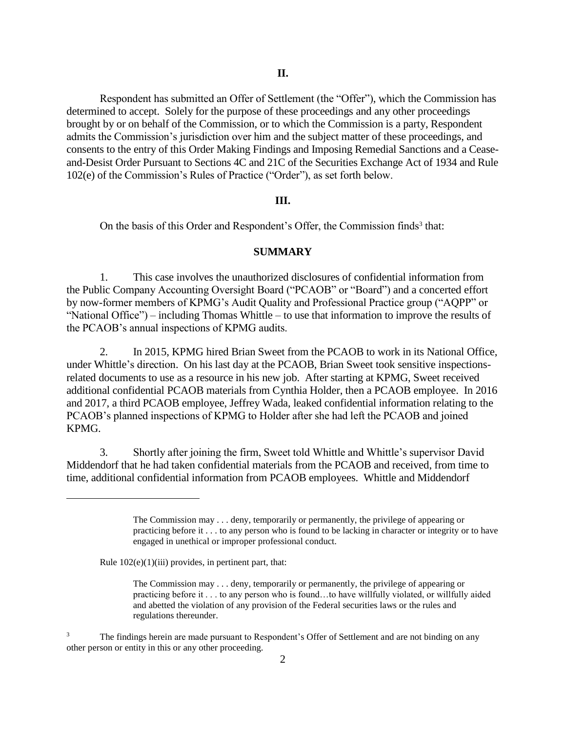Respondent has submitted an Offer of Settlement (the "Offer"), which the Commission has determined to accept. Solely for the purpose of these proceedings and any other proceedings brought by or on behalf of the Commission, or to which the Commission is a party, Respondent admits the Commission's jurisdiction over him and the subject matter of these proceedings, and consents to the entry of this Order Making Findings and Imposing Remedial Sanctions and a Ceaseand-Desist Order Pursuant to Sections 4C and 21C of the Securities Exchange Act of 1934 and Rule 102(e) of the Commission's Rules of Practice ("Order"), as set forth below.

#### **III.**

On the basis of this Order and Respondent's Offer, the Commission finds<sup>3</sup> that:

#### **SUMMARY**

1. This case involves the unauthorized disclosures of confidential information from the Public Company Accounting Oversight Board ("PCAOB" or "Board") and a concerted effort by now-former members of KPMG's Audit Quality and Professional Practice group ("AQPP" or "National Office") – including Thomas Whittle – to use that information to improve the results of the PCAOB's annual inspections of KPMG audits.

2. In 2015, KPMG hired Brian Sweet from the PCAOB to work in its National Office, under Whittle's direction. On his last day at the PCAOB, Brian Sweet took sensitive inspectionsrelated documents to use as a resource in his new job. After starting at KPMG, Sweet received additional confidential PCAOB materials from Cynthia Holder, then a PCAOB employee. In 2016 and 2017, a third PCAOB employee, Jeffrey Wada, leaked confidential information relating to the PCAOB's planned inspections of KPMG to Holder after she had left the PCAOB and joined KPMG.

3. Shortly after joining the firm, Sweet told Whittle and Whittle's supervisor David Middendorf that he had taken confidential materials from the PCAOB and received, from time to time, additional confidential information from PCAOB employees. Whittle and Middendorf

Rule  $102(e)(1)(iii)$  provides, in pertinent part, that:

The Commission may . . . deny, temporarily or permanently, the privilege of appearing or practicing before it . . . to any person who is found to be lacking in character or integrity or to have engaged in unethical or improper professional conduct.

The Commission may . . . deny, temporarily or permanently, the privilege of appearing or practicing before it . . . to any person who is found…to have willfully violated, or willfully aided and abetted the violation of any provision of the Federal securities laws or the rules and regulations thereunder.

<sup>&</sup>lt;sup>3</sup> The findings herein are made pursuant to Respondent's Offer of Settlement and are not binding on any other person or entity in this or any other proceeding.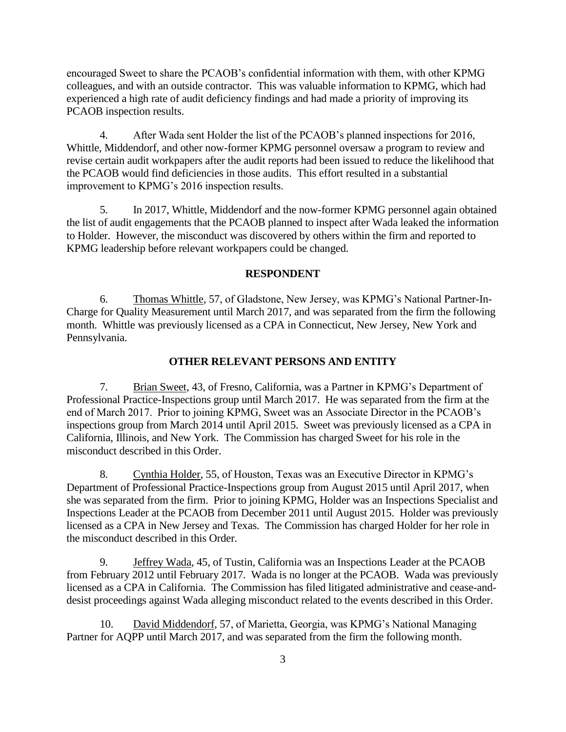encouraged Sweet to share the PCAOB's confidential information with them, with other KPMG colleagues, and with an outside contractor. This was valuable information to KPMG, which had experienced a high rate of audit deficiency findings and had made a priority of improving its PCAOB inspection results.

4. After Wada sent Holder the list of the PCAOB's planned inspections for 2016, Whittle, Middendorf, and other now-former KPMG personnel oversaw a program to review and revise certain audit workpapers after the audit reports had been issued to reduce the likelihood that the PCAOB would find deficiencies in those audits. This effort resulted in a substantial improvement to KPMG's 2016 inspection results.

5. In 2017, Whittle, Middendorf and the now-former KPMG personnel again obtained the list of audit engagements that the PCAOB planned to inspect after Wada leaked the information to Holder. However, the misconduct was discovered by others within the firm and reported to KPMG leadership before relevant workpapers could be changed.

## **RESPONDENT**

6. Thomas Whittle, 57, of Gladstone, New Jersey, was KPMG's National Partner-In-Charge for Quality Measurement until March 2017, and was separated from the firm the following month. Whittle was previously licensed as a CPA in Connecticut, New Jersey, New York and Pennsylvania.

#### **OTHER RELEVANT PERSONS AND ENTITY**

7. Brian Sweet, 43, of Fresno, California, was a Partner in KPMG's Department of Professional Practice-Inspections group until March 2017. He was separated from the firm at the end of March 2017. Prior to joining KPMG, Sweet was an Associate Director in the PCAOB's inspections group from March 2014 until April 2015. Sweet was previously licensed as a CPA in California, Illinois, and New York. The Commission has charged Sweet for his role in the misconduct described in this Order.

8. Cynthia Holder, 55, of Houston, Texas was an Executive Director in KPMG's Department of Professional Practice-Inspections group from August 2015 until April 2017, when she was separated from the firm. Prior to joining KPMG, Holder was an Inspections Specialist and Inspections Leader at the PCAOB from December 2011 until August 2015. Holder was previously licensed as a CPA in New Jersey and Texas. The Commission has charged Holder for her role in the misconduct described in this Order.

9. Jeffrey Wada, 45, of Tustin, California was an Inspections Leader at the PCAOB from February 2012 until February 2017. Wada is no longer at the PCAOB. Wada was previously licensed as a CPA in California. The Commission has filed litigated administrative and cease-anddesist proceedings against Wada alleging misconduct related to the events described in this Order.

10. David Middendorf, 57, of Marietta, Georgia, was KPMG's National Managing Partner for AQPP until March 2017, and was separated from the firm the following month.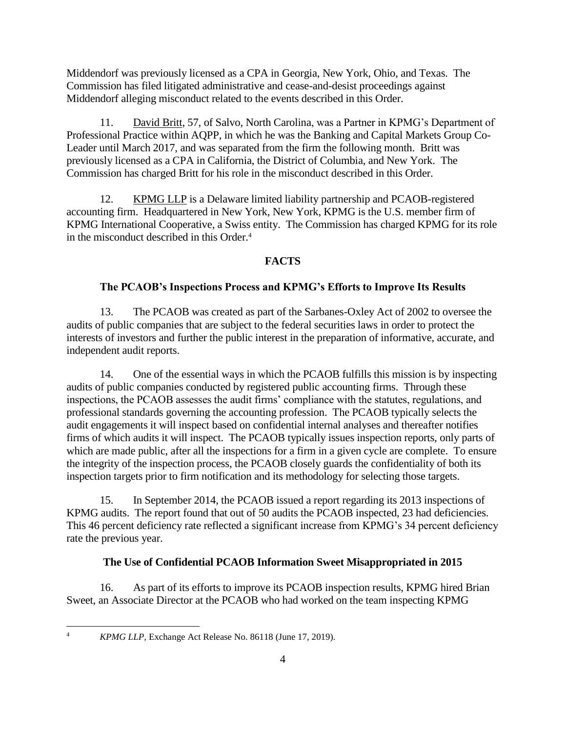Middendorf was previously licensed as a CPA in Georgia, New York, Ohio, and Texas. The Commission has filed litigated administrative and cease-and-desist proceedings against Middendorf alleging misconduct related to the events described in this Order.

11. David Britt, 57, of Salvo, North Carolina, was a Partner in KPMG's Department of Professional Practice within AQPP, in which he was the Banking and Capital Markets Group Co-Leader until March 2017, and was separated from the firm the following month. Britt was previously licensed as a CPA in California, the District of Columbia, and New York. The Commission has charged Britt for his role in the misconduct described in this Order.

12. KPMG LLP is a Delaware limited liability partnership and PCAOB-registered accounting firm. Headquartered in New York, New York, KPMG is the U.S. member firm of KPMG International Cooperative, a Swiss entity. The Commission has charged KPMG for its role in the misconduct described in this Order.<sup>4</sup>

# **FACTS**

## **The PCAOB's Inspections Process and KPMG's Efforts to Improve Its Results**

13. The PCAOB was created as part of the Sarbanes-Oxley Act of 2002 to oversee the audits of public companies that are subject to the federal securities laws in order to protect the interests of investors and further the public interest in the preparation of informative, accurate, and independent audit reports.

14. One of the essential ways in which the PCAOB fulfills this mission is by inspecting audits of public companies conducted by registered public accounting firms. Through these inspections, the PCAOB assesses the audit firms' compliance with the statutes, regulations, and professional standards governing the accounting profession. The PCAOB typically selects the audit engagements it will inspect based on confidential internal analyses and thereafter notifies firms of which audits it will inspect. The PCAOB typically issues inspection reports, only parts of which are made public, after all the inspections for a firm in a given cycle are complete. To ensure the integrity of the inspection process, the PCAOB closely guards the confidentiality of both its inspection targets prior to firm notification and its methodology for selecting those targets.

15. In September 2014, the PCAOB issued a report regarding its 2013 inspections of KPMG audits. The report found that out of 50 audits the PCAOB inspected, 23 had deficiencies. This 46 percent deficiency rate reflected a significant increase from KPMG's 34 percent deficiency rate the previous year.

### **The Use of Confidential PCAOB Information Sweet Misappropriated in 2015**

16. As part of its efforts to improve its PCAOB inspection results, KPMG hired Brian Sweet, an Associate Director at the PCAOB who had worked on the team inspecting KPMG

<sup>4</sup> *KPMG LLP,* Exchange Act Release No. 86118 (June 17, 2019).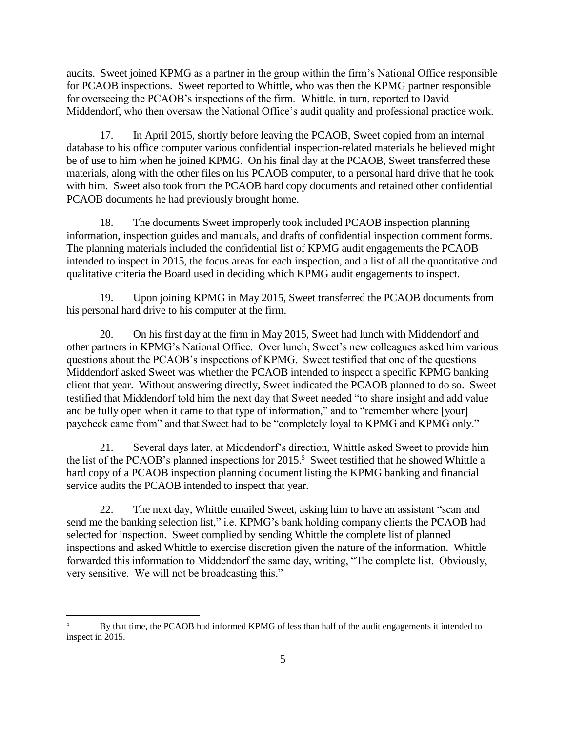audits. Sweet joined KPMG as a partner in the group within the firm's National Office responsible for PCAOB inspections. Sweet reported to Whittle, who was then the KPMG partner responsible for overseeing the PCAOB's inspections of the firm. Whittle, in turn, reported to David Middendorf, who then oversaw the National Office's audit quality and professional practice work.

17. In April 2015, shortly before leaving the PCAOB, Sweet copied from an internal database to his office computer various confidential inspection-related materials he believed might be of use to him when he joined KPMG. On his final day at the PCAOB, Sweet transferred these materials, along with the other files on his PCAOB computer, to a personal hard drive that he took with him. Sweet also took from the PCAOB hard copy documents and retained other confidential PCAOB documents he had previously brought home.

18. The documents Sweet improperly took included PCAOB inspection planning information, inspection guides and manuals, and drafts of confidential inspection comment forms. The planning materials included the confidential list of KPMG audit engagements the PCAOB intended to inspect in 2015, the focus areas for each inspection, and a list of all the quantitative and qualitative criteria the Board used in deciding which KPMG audit engagements to inspect.

19. Upon joining KPMG in May 2015, Sweet transferred the PCAOB documents from his personal hard drive to his computer at the firm.

20. On his first day at the firm in May 2015, Sweet had lunch with Middendorf and other partners in KPMG's National Office. Over lunch, Sweet's new colleagues asked him various questions about the PCAOB's inspections of KPMG. Sweet testified that one of the questions Middendorf asked Sweet was whether the PCAOB intended to inspect a specific KPMG banking client that year. Without answering directly, Sweet indicated the PCAOB planned to do so. Sweet testified that Middendorf told him the next day that Sweet needed "to share insight and add value and be fully open when it came to that type of information," and to "remember where [your] paycheck came from" and that Sweet had to be "completely loyal to KPMG and KPMG only."

21. Several days later, at Middendorf's direction, Whittle asked Sweet to provide him the list of the PCAOB's planned inspections for 2015.<sup>5</sup> Sweet testified that he showed Whittle a hard copy of a PCAOB inspection planning document listing the KPMG banking and financial service audits the PCAOB intended to inspect that year.

22. The next day, Whittle emailed Sweet, asking him to have an assistant "scan and send me the banking selection list," i.e. KPMG's bank holding company clients the PCAOB had selected for inspection. Sweet complied by sending Whittle the complete list of planned inspections and asked Whittle to exercise discretion given the nature of the information. Whittle forwarded this information to Middendorf the same day, writing, "The complete list. Obviously, very sensitive. We will not be broadcasting this."

<sup>5</sup> By that time, the PCAOB had informed KPMG of less than half of the audit engagements it intended to inspect in 2015.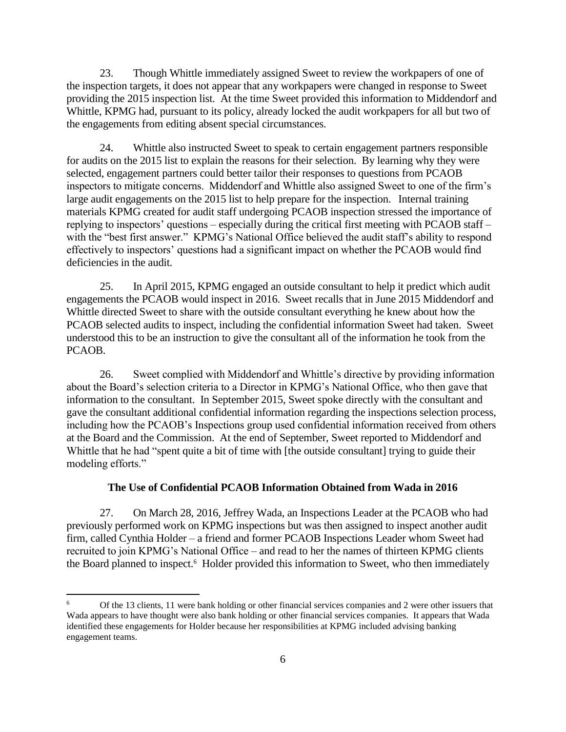23. Though Whittle immediately assigned Sweet to review the workpapers of one of the inspection targets, it does not appear that any workpapers were changed in response to Sweet providing the 2015 inspection list. At the time Sweet provided this information to Middendorf and Whittle, KPMG had, pursuant to its policy, already locked the audit workpapers for all but two of the engagements from editing absent special circumstances.

24. Whittle also instructed Sweet to speak to certain engagement partners responsible for audits on the 2015 list to explain the reasons for their selection. By learning why they were selected, engagement partners could better tailor their responses to questions from PCAOB inspectors to mitigate concerns. Middendorf and Whittle also assigned Sweet to one of the firm's large audit engagements on the 2015 list to help prepare for the inspection. Internal training materials KPMG created for audit staff undergoing PCAOB inspection stressed the importance of replying to inspectors' questions – especially during the critical first meeting with PCAOB staff – with the "best first answer." KPMG's National Office believed the audit staff's ability to respond effectively to inspectors' questions had a significant impact on whether the PCAOB would find deficiencies in the audit.

25. In April 2015, KPMG engaged an outside consultant to help it predict which audit engagements the PCAOB would inspect in 2016. Sweet recalls that in June 2015 Middendorf and Whittle directed Sweet to share with the outside consultant everything he knew about how the PCAOB selected audits to inspect, including the confidential information Sweet had taken. Sweet understood this to be an instruction to give the consultant all of the information he took from the PCAOB.

26. Sweet complied with Middendorf and Whittle's directive by providing information about the Board's selection criteria to a Director in KPMG's National Office, who then gave that information to the consultant. In September 2015, Sweet spoke directly with the consultant and gave the consultant additional confidential information regarding the inspections selection process, including how the PCAOB's Inspections group used confidential information received from others at the Board and the Commission. At the end of September, Sweet reported to Middendorf and Whittle that he had "spent quite a bit of time with [the outside consultant] trying to guide their modeling efforts."

# **The Use of Confidential PCAOB Information Obtained from Wada in 2016**

27. On March 28, 2016, Jeffrey Wada, an Inspections Leader at the PCAOB who had previously performed work on KPMG inspections but was then assigned to inspect another audit firm, called Cynthia Holder – a friend and former PCAOB Inspections Leader whom Sweet had recruited to join KPMG's National Office – and read to her the names of thirteen KPMG clients the Board planned to inspect.<sup>6</sup> Holder provided this information to Sweet, who then immediately

<sup>6</sup> Of the 13 clients, 11 were bank holding or other financial services companies and 2 were other issuers that Wada appears to have thought were also bank holding or other financial services companies. It appears that Wada identified these engagements for Holder because her responsibilities at KPMG included advising banking engagement teams.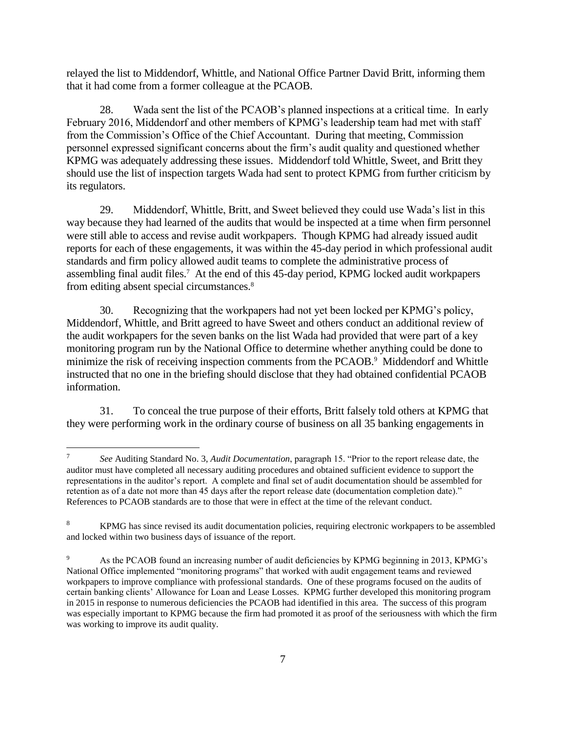relayed the list to Middendorf, Whittle, and National Office Partner David Britt, informing them that it had come from a former colleague at the PCAOB.

28. Wada sent the list of the PCAOB's planned inspections at a critical time. In early February 2016, Middendorf and other members of KPMG's leadership team had met with staff from the Commission's Office of the Chief Accountant. During that meeting, Commission personnel expressed significant concerns about the firm's audit quality and questioned whether KPMG was adequately addressing these issues. Middendorf told Whittle, Sweet, and Britt they should use the list of inspection targets Wada had sent to protect KPMG from further criticism by its regulators.

29. Middendorf, Whittle, Britt, and Sweet believed they could use Wada's list in this way because they had learned of the audits that would be inspected at a time when firm personnel were still able to access and revise audit workpapers. Though KPMG had already issued audit reports for each of these engagements, it was within the 45-day period in which professional audit standards and firm policy allowed audit teams to complete the administrative process of assembling final audit files.<sup>7</sup> At the end of this 45-day period, KPMG locked audit workpapers from editing absent special circumstances.<sup>8</sup>

30. Recognizing that the workpapers had not yet been locked per KPMG's policy, Middendorf, Whittle, and Britt agreed to have Sweet and others conduct an additional review of the audit workpapers for the seven banks on the list Wada had provided that were part of a key monitoring program run by the National Office to determine whether anything could be done to minimize the risk of receiving inspection comments from the PCAOB.<sup>9</sup> Middendorf and Whittle instructed that no one in the briefing should disclose that they had obtained confidential PCAOB information.

31. To conceal the true purpose of their efforts, Britt falsely told others at KPMG that they were performing work in the ordinary course of business on all 35 banking engagements in

<sup>7</sup> *See* Auditing Standard No. 3, *Audit Documentation*, paragraph 15. "Prior to the report release date, the auditor must have completed all necessary auditing procedures and obtained sufficient evidence to support the representations in the auditor's report. A complete and final set of audit documentation should be assembled for retention as of a date not more than 45 days after the report release date (documentation completion date)." References to PCAOB standards are to those that were in effect at the time of the relevant conduct.

<sup>&</sup>lt;sup>8</sup> KPMG has since revised its audit documentation policies, requiring electronic workpapers to be assembled and locked within two business days of issuance of the report.

As the PCAOB found an increasing number of audit deficiencies by KPMG beginning in 2013, KPMG's National Office implemented "monitoring programs" that worked with audit engagement teams and reviewed workpapers to improve compliance with professional standards. One of these programs focused on the audits of certain banking clients' Allowance for Loan and Lease Losses. KPMG further developed this monitoring program in 2015 in response to numerous deficiencies the PCAOB had identified in this area. The success of this program was especially important to KPMG because the firm had promoted it as proof of the seriousness with which the firm was working to improve its audit quality.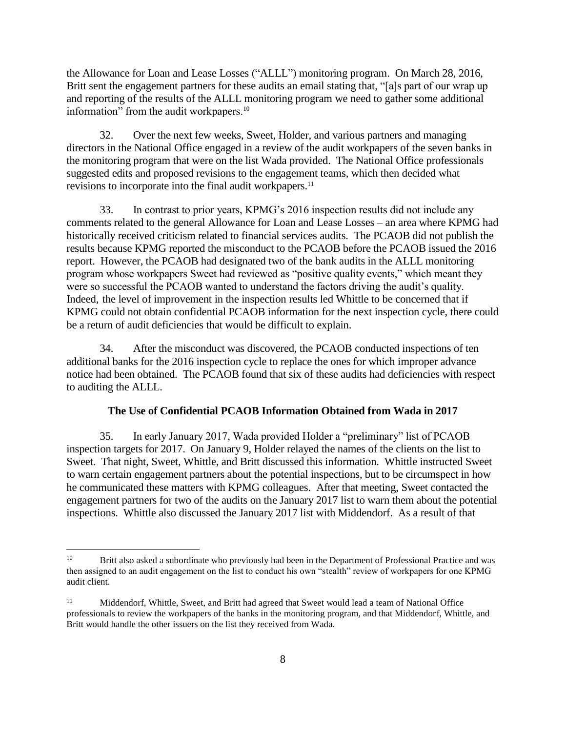the Allowance for Loan and Lease Losses ("ALLL") monitoring program. On March 28, 2016, Britt sent the engagement partners for these audits an email stating that, "[a]s part of our wrap up and reporting of the results of the ALLL monitoring program we need to gather some additional information" from the audit workpapers.<sup>10</sup>

32. Over the next few weeks, Sweet, Holder, and various partners and managing directors in the National Office engaged in a review of the audit workpapers of the seven banks in the monitoring program that were on the list Wada provided. The National Office professionals suggested edits and proposed revisions to the engagement teams, which then decided what revisions to incorporate into the final audit workpapers.<sup>11</sup>

33. In contrast to prior years, KPMG's 2016 inspection results did not include any comments related to the general Allowance for Loan and Lease Losses – an area where KPMG had historically received criticism related to financial services audits. The PCAOB did not publish the results because KPMG reported the misconduct to the PCAOB before the PCAOB issued the 2016 report. However, the PCAOB had designated two of the bank audits in the ALLL monitoring program whose workpapers Sweet had reviewed as "positive quality events," which meant they were so successful the PCAOB wanted to understand the factors driving the audit's quality. Indeed, the level of improvement in the inspection results led Whittle to be concerned that if KPMG could not obtain confidential PCAOB information for the next inspection cycle, there could be a return of audit deficiencies that would be difficult to explain.

34. After the misconduct was discovered, the PCAOB conducted inspections of ten additional banks for the 2016 inspection cycle to replace the ones for which improper advance notice had been obtained. The PCAOB found that six of these audits had deficiencies with respect to auditing the ALLL.

#### **The Use of Confidential PCAOB Information Obtained from Wada in 2017**

35. In early January 2017, Wada provided Holder a "preliminary" list of PCAOB inspection targets for 2017. On January 9, Holder relayed the names of the clients on the list to Sweet. That night, Sweet, Whittle, and Britt discussed this information. Whittle instructed Sweet to warn certain engagement partners about the potential inspections, but to be circumspect in how he communicated these matters with KPMG colleagues. After that meeting, Sweet contacted the engagement partners for two of the audits on the January 2017 list to warn them about the potential inspections. Whittle also discussed the January 2017 list with Middendorf. As a result of that

<sup>&</sup>lt;sup>10</sup> Britt also asked a subordinate who previously had been in the Department of Professional Practice and was then assigned to an audit engagement on the list to conduct his own "stealth" review of workpapers for one KPMG audit client.

<sup>&</sup>lt;sup>11</sup> Middendorf, Whittle, Sweet, and Britt had agreed that Sweet would lead a team of National Office professionals to review the workpapers of the banks in the monitoring program, and that Middendorf, Whittle, and Britt would handle the other issuers on the list they received from Wada.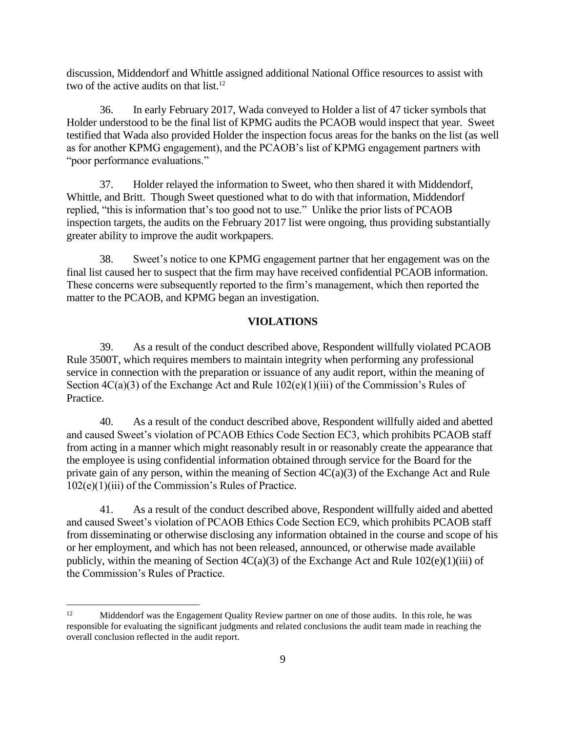discussion, Middendorf and Whittle assigned additional National Office resources to assist with two of the active audits on that list.<sup>12</sup>

36. In early February 2017, Wada conveyed to Holder a list of 47 ticker symbols that Holder understood to be the final list of KPMG audits the PCAOB would inspect that year. Sweet testified that Wada also provided Holder the inspection focus areas for the banks on the list (as well as for another KPMG engagement), and the PCAOB's list of KPMG engagement partners with "poor performance evaluations."

37. Holder relayed the information to Sweet, who then shared it with Middendorf, Whittle, and Britt. Though Sweet questioned what to do with that information, Middendorf replied, "this is information that's too good not to use." Unlike the prior lists of PCAOB inspection targets, the audits on the February 2017 list were ongoing, thus providing substantially greater ability to improve the audit workpapers.

38. Sweet's notice to one KPMG engagement partner that her engagement was on the final list caused her to suspect that the firm may have received confidential PCAOB information. These concerns were subsequently reported to the firm's management, which then reported the matter to the PCAOB, and KPMG began an investigation.

## **VIOLATIONS**

39. As a result of the conduct described above, Respondent willfully violated PCAOB Rule 3500T, which requires members to maintain integrity when performing any professional service in connection with the preparation or issuance of any audit report, within the meaning of Section  $4C(a)(3)$  of the Exchange Act and Rule  $102(e)(1)(iii)$  of the Commission's Rules of Practice.

40. As a result of the conduct described above, Respondent willfully aided and abetted and caused Sweet's violation of PCAOB Ethics Code Section EC3, which prohibits PCAOB staff from acting in a manner which might reasonably result in or reasonably create the appearance that the employee is using confidential information obtained through service for the Board for the private gain of any person, within the meaning of Section 4C(a)(3) of the Exchange Act and Rule 102(e)(1)(iii) of the Commission's Rules of Practice.

41. As a result of the conduct described above, Respondent willfully aided and abetted and caused Sweet's violation of PCAOB Ethics Code Section EC9, which prohibits PCAOB staff from disseminating or otherwise disclosing any information obtained in the course and scope of his or her employment, and which has not been released, announced, or otherwise made available publicly, within the meaning of Section  $4C(a)(3)$  of the Exchange Act and Rule  $102(e)(1)(iii)$  of the Commission's Rules of Practice.

 $12$ <sup>12</sup> Middendorf was the Engagement Quality Review partner on one of those audits. In this role, he was responsible for evaluating the significant judgments and related conclusions the audit team made in reaching the overall conclusion reflected in the audit report.